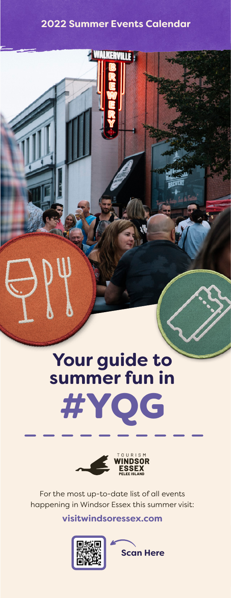#### **2022 Summer Events Calendar**

**WALKERVILLE** 





For the most up-to-date list of all events For the most up-to-date list of all events happening in Windsor Essex this summer visit: happening in Windsor Essex this summer visit:

**visitwindsoressex.com visitwindsoressex.com**



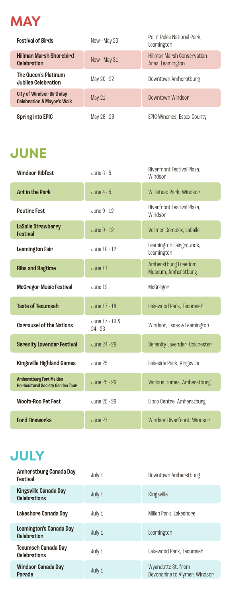

| <b>Festival of Birds</b>                                                 | Now - May 23 | Point Pelee National Park,<br>Leamington              |
|--------------------------------------------------------------------------|--------------|-------------------------------------------------------|
| <b>Hillman Marsh Shorebird</b><br><b>Celebration</b>                     | Now - May 31 | <b>Hillman Marsh Conservation</b><br>Area, Leamington |
| The Queen's Platinum<br><b>Jubilee Celebration</b>                       | May 20 - 22  | Downtown Amherstburg                                  |
| <b>City of Windsor Birthday</b><br><b>Celebration &amp; Mayor's Walk</b> | May 21       | Downtown Windson                                      |
| <b>Spring into EPIC</b>                                                  | May 28 - 29  | <b>EPIC Wineries, Essex County</b>                    |

## **JUNE**

| <b>Windsor Ribfest</b>                                                     | June 3 - 5                  | Riverfront Festival Plaza,<br>Windsor      |
|----------------------------------------------------------------------------|-----------------------------|--------------------------------------------|
| <b>Art in the Park</b>                                                     | June $4 - 5$                | Willistead Park, Windsor                   |
| <b>Poutine Fest</b>                                                        | June 9 - 12                 | Riverfront Festival Plaza.<br>Windsor      |
| LaSalle Strawberry<br><b>Festival</b>                                      | June 9 - 12                 | Vollmer Complex, LaSalle                   |
| <b>Leamington Fair</b>                                                     | June 10 - 12                | Leamington Fairgrounds,<br>Leamington      |
| <b>Ribs and Ragtime</b>                                                    | June 11                     | Amherstburg Freedom<br>Museum, Amherstburg |
| <b>McGregor Music Festival</b>                                             | June 12                     | McGregor                                   |
| <b>Taste of Tecumseh</b>                                                   | June 17 - 18                | Lakewood Park, Tecumseh                    |
| <b>Carrousel of the Nations</b>                                            | June 17 - 19 &<br>$94 - 96$ | Windsor, Essex & Leamington                |
| <b>Serenity Lavender Festival</b>                                          | June 24 - 26                | Serenity Lavender, Colchester              |
| <b>Kingsville Highland Games</b>                                           | June 25                     | Lakeside Park, Kingsville                  |
| <b>Amherstburg Fort Malden</b><br><b>Horticultural Society Garden Tour</b> | June 25 - 26                | Various Homes, Amherstburg                 |
| <b>Woofa-Roo Pet Fest</b>                                                  | June 25 - 26                | Libro Centre, Amherstburg                  |
| <b>Ford Fireworks</b>                                                      | June 97                     | Windson Riverfront, Windson                |

# **JULY**

| Downtown Amherstburg<br>July 1<br>Festival                                                                  |  |
|-------------------------------------------------------------------------------------------------------------|--|
| <b>Kingsville Canada Day</b><br>July 1<br>Kingsville<br><b>Celebrations</b>                                 |  |
| Lakeshore Canada Day<br>Millen Park, Lakeshore<br>July 1                                                    |  |
| Leamington's Canada Day<br>July 1<br>Leamington<br><b>Celebration</b>                                       |  |
| <b>Tecumseh Canada Day</b><br>Lakewood Park, Tecumseh<br>July 1<br><b>Celebrations</b>                      |  |
| <b>Windsor Canada Day</b><br>Wyandotte St. from<br>July 1<br>Devonshire to Alymer, Windsor<br><b>Parade</b> |  |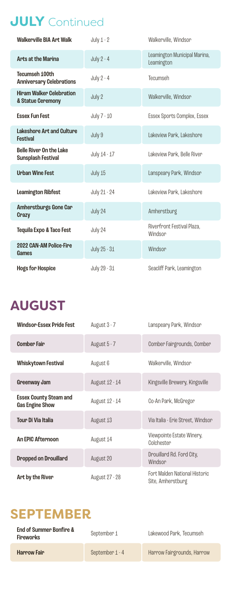#### **JULY** Continued

| <b>Walkerville BIA Art Walk</b>                             | July $1 - 2$ | Walkerville, Windsor                       |
|-------------------------------------------------------------|--------------|--------------------------------------------|
| <b>Arts at the Marina</b>                                   | July $2 - 4$ | Leamington Municipal Marina,<br>Leamington |
| Tecumseh 100th<br><b>Anniversary Celebrations</b>           | July $2 - 4$ | Tecumseh                                   |
| <b>Hiram Walker Celebration</b><br>& Statue Ceremony        | July 2       | Walkerville, Windsor                       |
| <b>Essex Fun Fest</b>                                       | July 7 - 10  | Essex Sports Complex, Essex                |
| <b>Lakeshore Art and Culture</b><br><b>Festival</b>         | July 9       | Lakeview Park, Lakeshore                   |
| <b>Belle River On the Lake</b><br><b>Sunsplash Festival</b> | July 14 - 17 | Lakeview Park, Belle River                 |
| <b>Urban Wine Fest</b>                                      | July 15      | Lanspeary Park, Windsor                    |
| <b>Leamington Ribfest</b>                                   | July 21 - 24 | Lakeview Park, Lakeshore                   |
| Amherstburgs Gone Car<br>Crazy                              | July 24      | Amherstburg                                |
| <b>Tequila Expo &amp; Taco Fest</b>                         | July 24      | Riverfront Festival Plaza.<br>Windsor      |
| 2022 CAN-AM Police-Fire<br>Games                            | July 25 - 31 | Windsor                                    |
| <b>Hogs for Hospice</b>                                     | July 29 - 31 | Seacliff Park, Leamington                  |

#### **AUGUST**

| <b>Windson-Essex Pride Fest</b>                         | August 3 - 7   | Lanspeary Park, Windsor                            |
|---------------------------------------------------------|----------------|----------------------------------------------------|
| <b>Comber Fair</b>                                      | August 5 - 7   | Comber Fairgrounds, Comber                         |
| <b>Whiskytown Festival</b>                              | August 6       | Walkerville, Windsor                               |
| Greenway Jam                                            | August 12 - 14 | Kingsville Brewery, Kingsville                     |
| <b>Essex County Steam and</b><br><b>Gas Engine Show</b> | August 12 - 14 | Co-An Park, McGregor                               |
| Tour Di Via Italia                                      | August 13      | Via Italia - Erie Street, Windsor                  |
| <b>An EPIC Afternoon</b>                                | August 14      | Viewpointe Estate Winery,<br>Colchester            |
| <b>Dropped on Drouillard</b>                            | August 20      | Drouillard Rd. Ford City,<br>Windsor               |
| Art by the River                                        | August 27 - 28 | Fort Malden National Historic<br>Site, Amherstburg |

#### **SEPTEMBER**

| End of Summer Bonfire &<br>Fireworks | September 1     | Lakewood Park, Tecumseh    |
|--------------------------------------|-----------------|----------------------------|
| Harrow Fair                          | September 1 - 4 | Harrow Fairgrounds, Harrow |